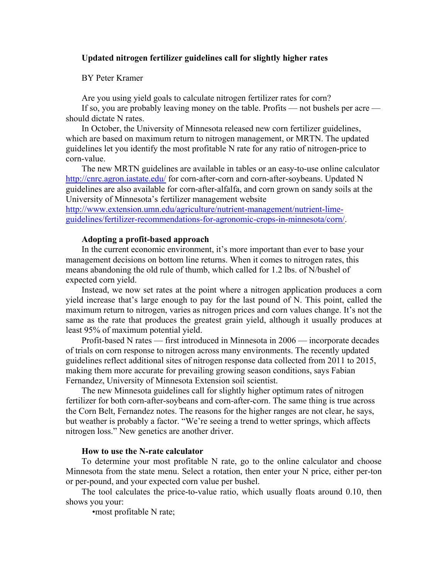## **Updated nitrogen fertilizer guidelines call for slightly higher rates**

BY Peter Kramer

Are you using yield goals to calculate nitrogen fertilizer rates for corn?

If so, you are probably leaving money on the table. Profits — not bushels per acre should dictate N rates.

In October, the University of Minnesota released new corn fertilizer guidelines, which are based on maximum return to nitrogen management, or MRTN. The updated guidelines let you identify the most profitable N rate for any ratio of nitrogen-price to corn-value.

The new MRTN guidelines are available in tables or an easy-to-use online calculator <http://cnrc.agron.iastate.edu/> for corn-after-corn and corn-after-soybeans. Updated N guidelines are also available for corn-after-alfalfa, and corn grown on sandy soils at the University of Minnesota's fertilizer management website

[http://www.extension.umn.edu/agriculture/nutrient-management/nutrient-lime](http://www.extension.umn.edu/agriculture/nutrient-management/nutrient-lime-guidelines/fertilizer-recommendations-for-agronomic-crops-in-minnesota/corn/)[guidelines/fertilizer-recommendations-for-agronomic-crops-in-minnesota/corn/.](http://www.extension.umn.edu/agriculture/nutrient-management/nutrient-lime-guidelines/fertilizer-recommendations-for-agronomic-crops-in-minnesota/corn/)

### **Adopting a profit-based approach**

In the current economic environment, it's more important than ever to base your management decisions on bottom line returns. When it comes to nitrogen rates, this means abandoning the old rule of thumb, which called for 1.2 lbs. of N/bushel of expected corn yield.

Instead, we now set rates at the point where a nitrogen application produces a corn yield increase that's large enough to pay for the last pound of N. This point, called the maximum return to nitrogen, varies as nitrogen prices and corn values change. It's not the same as the rate that produces the greatest grain yield, although it usually produces at least 95% of maximum potential yield.

Profit-based N rates — first introduced in Minnesota in 2006 — incorporate decades of trials on corn response to nitrogen across many environments. The recently updated guidelines reflect additional sites of nitrogen response data collected from 2011 to 2015, making them more accurate for prevailing growing season conditions, says Fabian Fernandez, University of Minnesota Extension soil scientist.

The new Minnesota guidelines call for slightly higher optimum rates of nitrogen fertilizer for both corn-after-soybeans and corn-after-corn. The same thing is true across the Corn Belt, Fernandez notes. The reasons for the higher ranges are not clear, he says, but weather is probably a factor. "We're seeing a trend to wetter springs, which affects nitrogen loss." New genetics are another driver.

## **How to use the N-rate calculator**

To determine your most profitable N rate, go to the online calculator and choose Minnesota from the state menu. Select a rotation, then enter your N price, either per-ton or per-pound, and your expected corn value per bushel.

The tool calculates the price-to-value ratio, which usually floats around 0.10, then shows you your:

•most profitable N rate;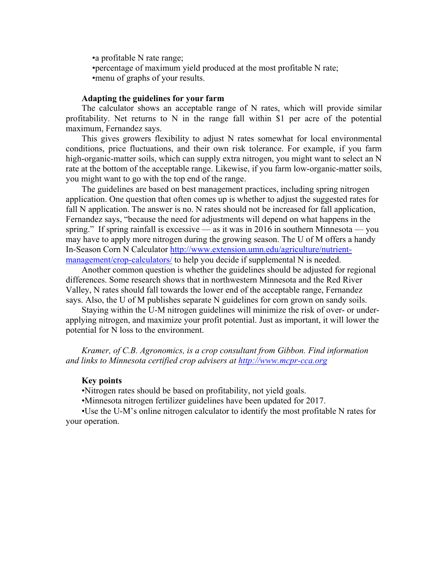•a profitable N rate range; •percentage of maximum yield produced at the most profitable N rate; •menu of graphs of your results.

#### **Adapting the guidelines for your farm**

The calculator shows an acceptable range of N rates, which will provide similar profitability. Net returns to N in the range fall within \$1 per acre of the potential maximum, Fernandez says.

This gives growers flexibility to adjust N rates somewhat for local environmental conditions, price fluctuations, and their own risk tolerance. For example, if you farm high-organic-matter soils, which can supply extra nitrogen, you might want to select an N rate at the bottom of the acceptable range. Likewise, if you farm low-organic-matter soils, you might want to go with the top end of the range.

The guidelines are based on best management practices, including spring nitrogen application. One question that often comes up is whether to adjust the suggested rates for fall N application. The answer is no. N rates should not be increased for fall application, Fernandez says, "because the need for adjustments will depend on what happens in the spring." If spring rainfall is excessive — as it was in 2016 in southern Minnesota — you may have to apply more nitrogen during the growing season. The U of M offers a handy In-Season Corn N Calculator [http://www.extension.umn.edu/agriculture/nutrient](http://www.extension.umn.edu/agriculture/nutrient-management/crop-calculators/)[management/crop-calculators/](http://www.extension.umn.edu/agriculture/nutrient-management/crop-calculators/) to help you decide if supplemental N is needed.

Another common question is whether the guidelines should be adjusted for regional differences. Some research shows that in northwestern Minnesota and the Red River Valley, N rates should fall towards the lower end of the acceptable range, Fernandez says. Also, the U of M publishes separate N guidelines for corn grown on sandy soils.

Staying within the U-M nitrogen guidelines will minimize the risk of over- or underapplying nitrogen, and maximize your profit potential. Just as important, it will lower the potential for N loss to the environment.

*Kramer, of C.B. Agronomics, is a crop consultant from Gibbon. Find information and links to Minnesota certified crop advisers at [http://www.mcpr-cca.org](http://www.mcpr-cca.org/)*

#### **Key points**

•Nitrogen rates should be based on profitability, not yield goals.

•Minnesota nitrogen fertilizer guidelines have been updated for 2017.

•Use the U-M's online nitrogen calculator to identify the most profitable N rates for your operation.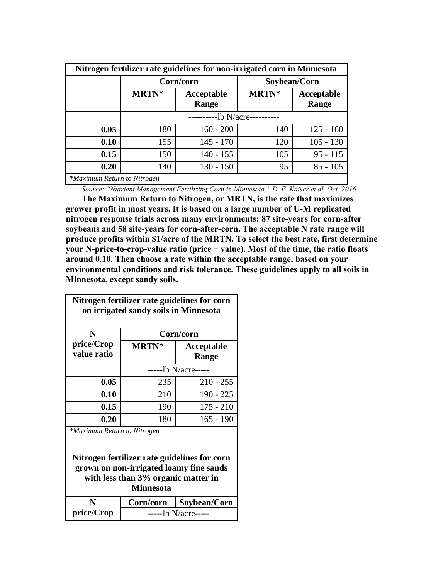| Nitrogen fertilizer rate guidelines for non-irrigated corn in Minnesota |             |                     |              |                     |  |
|-------------------------------------------------------------------------|-------------|---------------------|--------------|---------------------|--|
|                                                                         | Corn/corn   |                     | Soybean/Corn |                     |  |
|                                                                         | MRTN*       | Acceptable<br>Range | MRTN*        | Acceptable<br>Range |  |
|                                                                         | -lb N/acre- |                     |              |                     |  |
| 0.05                                                                    | 180         | $160 - 200$         | 140          | $125 - 160$         |  |
| 0.10                                                                    | 155         | $145 - 170$         | 120          | $105 - 130$         |  |
| 0.15                                                                    | 150         | $140 - 155$         | 105          | $95 - 115$          |  |
| 0.20                                                                    | 140         | $130 - 150$         | 95           | $85 - 105$          |  |
| *Maximum Return to Nitrogen                                             |             |                     |              |                     |  |

*Source: "Nutrient Management Fertilizing Corn in Minnesota," D. E. Kaiser et al, Oct. 2016*

**The Maximum Return to Nitrogen, or MRTN, is the rate that maximizes grower profit in most years. It is based on a large number of U-M replicated nitrogen response trials across many environments: 87 site-years for corn-after soybeans and 58 site-years for corn-after-corn. The acceptable N rate range will produce profits within \$1/acre of the MRTN. To select the best rate, first determine your N-price-to-crop-value ratio (price ÷ value). Most of the time, the ratio floats around 0.10. Then choose a rate within the acceptable range, based on your environmental conditions and risk tolerance. These guidelines apply to all soils in Minnesota, except sandy soils.**

| Nitrogen fertilizer rate guidelines for corn<br>on irrigated sandy soils in Minnesota   |                      |                     |  |  |  |
|-----------------------------------------------------------------------------------------|----------------------|---------------------|--|--|--|
| N                                                                                       | Corn/corn            |                     |  |  |  |
| price/Crop<br>value ratio                                                               | <b>MRTN*</b>         | Acceptable<br>Range |  |  |  |
|                                                                                         | ------lb N/acre----- |                     |  |  |  |
| 0.05                                                                                    | 235                  | $210 - 255$         |  |  |  |
| 0.10                                                                                    | 210                  | $190 - 225$         |  |  |  |
| 0.15                                                                                    | 190                  | $175 - 210$         |  |  |  |
| 0.20                                                                                    | 180                  | $165 - 190$         |  |  |  |
| *Maximum Return to Nitrogen                                                             |                      |                     |  |  |  |
| Nitrogen fertilizer rate guidelines for corn<br>grown on non-irrigated loamy fine sands |                      |                     |  |  |  |
| with less than 3% organic matter in<br><b>Minnesota</b>                                 |                      |                     |  |  |  |
| N                                                                                       | Corn/corn            | Soybean/Corn        |  |  |  |
| price/Crop                                                                              | ------lb N/acre----- |                     |  |  |  |